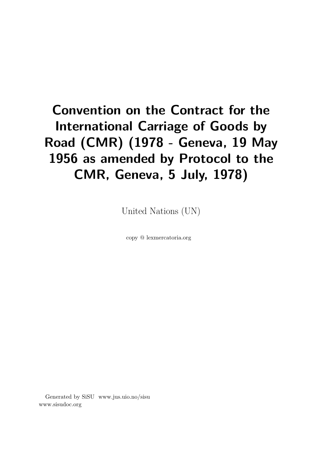# **Convention on the Contract for the International Carriage of Goods by Road (CMR) (1978 - Geneva, 19 May 1956 as amended by Protocol to the CMR, Geneva, 5 July, 1978)**

United Nations (UN)

copy @ lexmercatoria.org

Generated by SiSU www.jus.uio.no/sisu www.sisudoc.org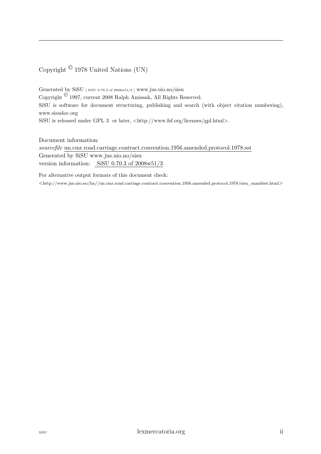# Copyright © 1978 United Nations (UN)

Generated by SiSU [ SiSU 0.70.3 of 2008w51/3 ] www.jus.uio.no/sisu

Copyright © 1997, current 2008 Ralph Amissah, All Rights Reserved.

SiSU is software for document structuring, publishing and search (with object citation numbering), www.sisudoc.[org](http://www.jus.uio.no/sisu)

SiSU is released under GPL 3 or later, *<*[http://www.fsf.org/](http://www.jus.uio.no/sisu)licenses/gpl.html*>*.

[Document infor](http://www.sisudoc.org)mation: *sourcefile* un.cmr.roa[d.carria](http://www.fsf.org/licenses/gpl.html)ge.contra[ct.convention.1956.amended.protoc](http://www.fsf.org/licenses/gpl.html)ol.1978.sst Generated by SiSU www.jus.uio.no/sisu version information: SiSU 0.70.3 of 2008w51/3

For alternative output formats of this document check:

*<*http://www.jus.[uio.no/lm//un.cmr.road.carriage.](http://www.jus.uio.no/sisu)contract.convention.1956.amended.protocol.1978/sisu\_manifest.html*>*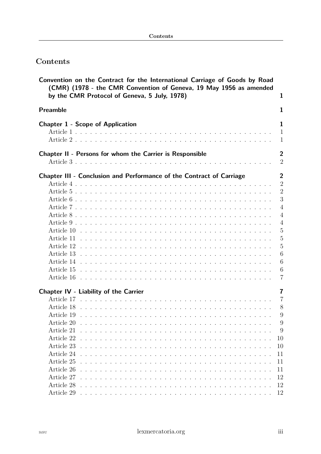# **Contents**

| Convention on the Contract for the International Carriage of Goods by Road<br>(CMR) (1978 - the CMR Convention of Geneva, 19 May 1956 as amended<br>by the CMR Protocol of Geneva, 5 July, 1978)                                                   |                                     |  |  |
|----------------------------------------------------------------------------------------------------------------------------------------------------------------------------------------------------------------------------------------------------|-------------------------------------|--|--|
| <b>Preamble</b>                                                                                                                                                                                                                                    | $\mathbf{1}$                        |  |  |
| <b>Chapter 1 - Scope of Application</b>                                                                                                                                                                                                            | 1<br>$\overline{1}$<br>$\mathbf{1}$ |  |  |
| Chapter II - Persons for whom the Carrier is Responsible                                                                                                                                                                                           | $\overline{2}$<br>$\overline{2}$    |  |  |
| Chapter III - Conclusion and Performance of the Contract of Carriage                                                                                                                                                                               | $\overline{2}$                      |  |  |
|                                                                                                                                                                                                                                                    | $\overline{2}$                      |  |  |
|                                                                                                                                                                                                                                                    | $\overline{2}$                      |  |  |
|                                                                                                                                                                                                                                                    | 3                                   |  |  |
|                                                                                                                                                                                                                                                    | $\overline{4}$                      |  |  |
|                                                                                                                                                                                                                                                    | $\overline{4}$                      |  |  |
|                                                                                                                                                                                                                                                    | $\overline{4}$                      |  |  |
|                                                                                                                                                                                                                                                    | 5                                   |  |  |
|                                                                                                                                                                                                                                                    | 5                                   |  |  |
|                                                                                                                                                                                                                                                    | 5                                   |  |  |
|                                                                                                                                                                                                                                                    | 6                                   |  |  |
|                                                                                                                                                                                                                                                    | 6                                   |  |  |
|                                                                                                                                                                                                                                                    | 6                                   |  |  |
|                                                                                                                                                                                                                                                    | $\overline{7}$                      |  |  |
| Chapter IV - Liability of the Carrier                                                                                                                                                                                                              | 7                                   |  |  |
|                                                                                                                                                                                                                                                    | $\overline{7}$                      |  |  |
|                                                                                                                                                                                                                                                    | 8                                   |  |  |
|                                                                                                                                                                                                                                                    | 9                                   |  |  |
| Article 20                                                                                                                                                                                                                                         | 9                                   |  |  |
| Article 21<br><u> 1919 - Paris Paris II, prima politika politika (h. 1919).</u>                                                                                                                                                                    | 9                                   |  |  |
| Article 22                                                                                                                                                                                                                                         | 10                                  |  |  |
| Article 23                                                                                                                                                                                                                                         | 10                                  |  |  |
| Article 24<br>$\mathbf{r}$ , and the state of the state $\mathbf{r}$                                                                                                                                                                               | 11                                  |  |  |
| Article 25                                                                                                                                                                                                                                         | 11                                  |  |  |
| Article 26<br><u> 1999 - Paris Alexandria et al. 1999 - Paris Alexandria et al. 1999 - Paris Alexandria et al. 1999 - Paris Alexandria et al. 1999 - Paris Alexandria et al. 1999 - Paris Alexandria et al. 1999 - Paris Alexandria et al. 199</u> | 11                                  |  |  |
| Article 27                                                                                                                                                                                                                                         | 12                                  |  |  |
| Article 28                                                                                                                                                                                                                                         | 12                                  |  |  |
| Article 29                                                                                                                                                                                                                                         | 12                                  |  |  |
|                                                                                                                                                                                                                                                    |                                     |  |  |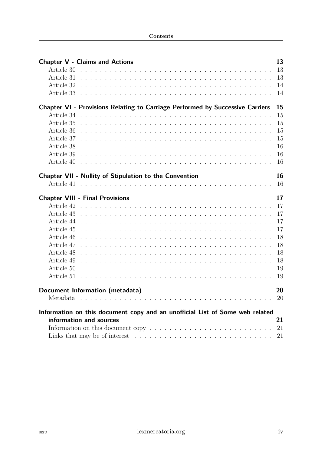|                                                                                                                                                                                                                                                    | 13  |
|----------------------------------------------------------------------------------------------------------------------------------------------------------------------------------------------------------------------------------------------------|-----|
| <b>Chapter V - Claims and Actions</b><br>Article 30                                                                                                                                                                                                | 13  |
| Article 31<br><u>. A serie de la caractería de la caractería de la caractería de la caractería de la caractería de la caracterí</u>                                                                                                                | 13  |
| Article 32                                                                                                                                                                                                                                         | 14  |
|                                                                                                                                                                                                                                                    | 14  |
|                                                                                                                                                                                                                                                    |     |
| <b>Chapter VI - Provisions Relating to Carriage Performed by Successive Carriers</b>                                                                                                                                                               | 15  |
| Article 34                                                                                                                                                                                                                                         | 15  |
| Article 35                                                                                                                                                                                                                                         | 15  |
| Article 36                                                                                                                                                                                                                                         | 15  |
| Article 37                                                                                                                                                                                                                                         | 15  |
| Article 38<br><u>. In the second terms of the second terms of the second terms of the second terms of the second terms of the second</u>                                                                                                           | 16  |
| Article 39                                                                                                                                                                                                                                         | 16  |
| Article 40<br><u>. In the second control of the second control of the second control of the second control of the second control of the second control of the second control of the second control of the second control of the second control</u> | 16  |
|                                                                                                                                                                                                                                                    |     |
| <b>Chapter VII - Nullity of Stipulation to the Convention</b>                                                                                                                                                                                      | 16  |
| Article 41                                                                                                                                                                                                                                         | 16  |
| <b>Chapter VIII - Final Provisions</b>                                                                                                                                                                                                             | 17  |
| Article 42                                                                                                                                                                                                                                         | 17  |
| Article 43                                                                                                                                                                                                                                         | 17  |
| Article 44                                                                                                                                                                                                                                         | 17  |
| Article 45                                                                                                                                                                                                                                         | 17  |
| Article 46<br><u>. In the second terms of the second terms of the second terms of the second terms of the second terms of the second</u>                                                                                                           | 18  |
| Article 47                                                                                                                                                                                                                                         | 18  |
| Article 48                                                                                                                                                                                                                                         | 18  |
| Article 49                                                                                                                                                                                                                                         | 18  |
| Article 50                                                                                                                                                                                                                                         | 19  |
| Article 51                                                                                                                                                                                                                                         | 19  |
|                                                                                                                                                                                                                                                    |     |
| Document Information (metadata)                                                                                                                                                                                                                    | 20  |
|                                                                                                                                                                                                                                                    | -20 |
| Information on this document copy and an unofficial List of Some web related                                                                                                                                                                       |     |
| information and sources                                                                                                                                                                                                                            | 21  |
| Information on this document copy $\dots \dots \dots \dots \dots \dots \dots \dots \dots \dots$                                                                                                                                                    | 21  |
|                                                                                                                                                                                                                                                    | 21  |
|                                                                                                                                                                                                                                                    |     |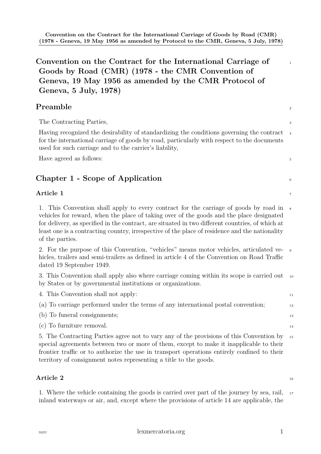# Convention on the Contract for the International Carriage of **Goods by Road (CMR) (1978 - the CMR Convention of Geneva, 19 May 1956 as amended by the CMR Protocol of Geneva, 5 July, 1978)**

# **Preamble** <sup>2</sup>

The Contracting Parties,  $\frac{3}{4}$ 

<span id="page-4-1"></span><span id="page-4-0"></span>Having recognized the desirability of standardizing the conditions governing the contract  $\frac{4}{4}$ for the international carriage of goods by road, particularly with respect to the documents used for such carriage and to the carrier's liability,

Have agreed as follows:  $\frac{5}{5}$ 

# **Chapter 1 - Scope of Application**

**Article 1** 7

<span id="page-4-2"></span>1. This Convention shall apply to every contract for the carriage of goods by road in <sup>8</sup> vehicles for reward, when the place of taking over of the goods and the place designated for delivery, as specified in the contract, are situated in two different countries, of which at least one is a contracting country, irrespective of the place of residence and the nationality of the parties.

<span id="page-4-3"></span>2. For the purpose of this Convention, "vehicles" means motor vehicles, articulated ve- <sup>9</sup> hicles, trailers and semi-trailers as defined in article 4 of the Convention on Road Traffic dated 19 September 1949.

3. This Convention shall apply also where carriage coming within its scope is carried out <sup>10</sup> by States or by governmental institutions or organizations.

4. This Convention shall not apply: 11 (a) To carriage performed under the terms of any international postal convention; <sup>12</sup>

(b) To funeral consignments; 13

(c) To furniture removal.  $14$ 

5. The Contracting Parties agree not to vary any of the provisions of this Convention by <sup>15</sup> special agreements between two or more of them, except to make it inapplicable to their frontier traffic or to authorize the use in transport operations entirely confined to their territory of consignment notes representing a title to the goods.

#### **Article 2** 16

<span id="page-4-4"></span>1. Where the vehicle containing the goods is carried over part of the journey by sea, rail, <sup>17</sup> inland waterways or air, and, except where the provisions of article 14 are applicable, the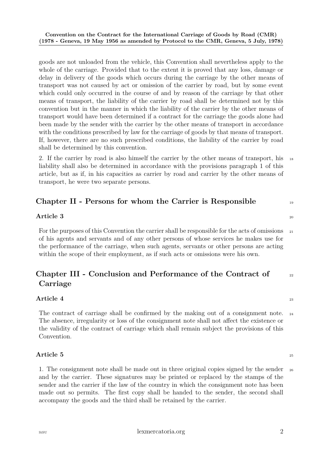goods are not unloaded from the vehicle, this Convention shall nevertheless apply to the whole of the carriage. Provided that to the extent it is proved that any loss, damage or delay in delivery of the goods which occurs during the carriage by the other means of transport was not caused by act or omission of the carrier by road, but by some event which could only occurred in the course of and by reason of the carriage by that other means of transport, the liability of the carrier by road shall be determined not by this convention but in the manner in which the liability of the carrier by the other means of transport would have been determined if a contract for the carriage the goods alone had been made by the sender with the carrier by the other means of transport in accordance with the conditions prescribed by law for the carriage of goods by that means of transport. If, however, there are no such prescribed conditions, the liability of the carrier by road shall be determined by this convention.

2. If the carrier by road is also himself the carrier by the other means of transport, his 18 liability shall also be determined in accordance with the provisions paragraph 1 of this article, but as if, in his capacities as carrier by road and carrier by the other means of transport, he were two separate persons.

# **Chapter II - Persons for whom the Carrier is Responsible** <sup>19</sup>

## **Article 3** <sup>20</sup>

<span id="page-5-0"></span>For the purposes of this Convention the carrier shall be responsible for the acts of omissions  $_{21}$ of his agents and servants and of any other persons of whose services he makes use for the performance of the carriage, when such agents, servants or other persons are acting within the scope of their employment, as if such acts or omissions were his own.

# <span id="page-5-1"></span>**Chapter III - Conclusion and Performance of the Contract of** <sup>22</sup> **Carriage**

#### **Article 4** 23

<span id="page-5-2"></span>The contract of carriage shall be confirmed by the making out of a consignment note.  $_{24}$ The absence, irregularity or loss of the consignment note shall not affect the existence or the validity of the contract of carriage which shall remain subject the provisions of this Convention.

#### <span id="page-5-3"></span>**Article 5** <sup>25</sup>

<span id="page-5-4"></span>1. The consignment note shall be made out in three original copies signed by the sender  $_{26}$ and by the carrier. These signatures may be printed or replaced by the stamps of the sender and the carrier if the law of the country in which the consignment note has been made out so permits. The first copy shall be handed to the sender, the second shall accompany the goods and the third shall be retained by the carrier.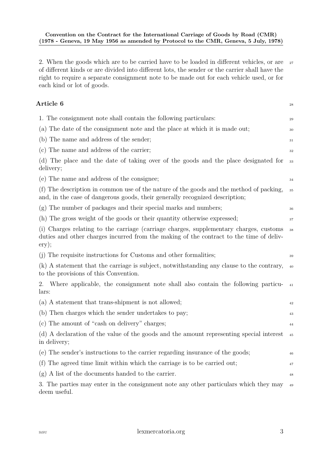2. When the goods which are to be carried have to be loaded in different vehicles, or are 27 of different kinds or are divided into different lots, the sender or the carrier shall have the right to require a separate consignment note to be made out for each vehicle used, or for each kind or lot of goods.

# <span id="page-6-0"></span>**Article 6** <sup>28</sup> 1. The consignment note shall contain the following particulars: <sup>29</sup> (a) The date of the consignment note and the place at which it is made out;  $_{30}$ (b) The name and address of the sender;  $31$ (c) The name and address of the carrier;  $\frac{32}{2}$ (d) The place and the date of taking over of the goods and the place designated for <sup>33</sup> delivery; (e) The name and address of the consignee; <sup>34</sup> (f) The description in common use of the nature of the goods and the method of packing,  $\frac{35}{2}$ and, in the case of dangerous goods, their generally recognized description;  $(g)$  The number of packages and their special marks and numbers;  $\frac{36}{9}$ (h) The gross weight of the goods or their quantity otherwise expressed;  $37$ (i) Charges relating to the carriage (carriage charges, supplementary charges, customs <sup>38</sup> duties and other charges incurred from the making of the contract to the time of delivery); (i) The requisite instructions for Customs and other formalities;  $_{39}$ (k) A statement that the carriage is subject, notwithstanding any clause to the contrary,  $\frac{40}{20}$ to the provisions of this Convention. 2. Where applicable, the consignment note shall also contain the following particu- <sup>41</sup> lars: (a) A statement that trans-shipment is not allowed;  $\frac{42}{42}$ (b) Then charges which the sender undertakes to pay;  $\frac{43}{43}$ (c) The amount of "cash on delivery" charges; <sup>44</sup> (d) A declaration of the value of the goods and the amount representing special interest  $\frac{45}{45}$ in delivery; (e) The sender's instructions to the carrier regarding insurance of the goods; <sup>46</sup> (f) The agreed time limit within which the carriage is to be carried out;  $47$  $(g)$  A list of the documents handed to the carrier. 3. The parties may enter in the consignment note any other particulars which they may <sup>49</sup> deem useful.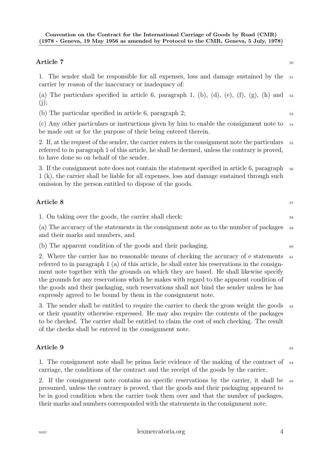**Convention on the Contract for the International Carriage of Goods by Road (CMR) (1978 - Geneva, 19 May 1956 as amended by Protocol to the CMR, Geneva, 5 July, 1978)**

## **Article 7** 50

1. The sender shall be responsible for all expenses, loss and damage sustained by the <sup>51</sup> carrier by reason of the inaccuracy or inadequacy of:

<span id="page-7-0"></span>(a) The particulars specified in article 6, paragraph 1, (b), (d), (e), (f), (g), (h) and  $_{52}$  $(i)$ ;

(b) The particular specified in article 6, paragraph 2;  $\frac{53}{2}$ 

(c) Any other particulars or instructions given by him to enable the consignment note to  $_{54}$ be made out or for the purpose of their being entered therein.

2. If, at the request of the sender, the carrier enters in the consignment note the particulars  $55$ referred to in paragraph 1 of this article, he shall be deemed, unless the contrary is proved, to have done so on behalf of the sender.

3. If the consignment note does not contain the statement specified in article 6, paragraph  $_{56}$ 1 (k), the carrier shall be liable for all expenses, loss and damage sustained through such omission by the person entitled to dispose of the goods.

#### **Article 8** 57

1. On taking over the goods, the carrier shall check:  $\frac{58}{100}$ 

(a) The accuracy of the statements in the consignment note as to the number of packages  $_{59}$ and their marks and numbers, and

<span id="page-7-1"></span>(b) The apparent condition of the goods and their packaging.  $\frac{60}{60}$ 

2. Where the carrier has no reasonable means of checking the accuracy of e statements  $\epsilon_{61}$ referred to in paragraph 1 (a) of this article, he shall enter his reservations in the consignment note together with the grounds on which they are based. He shall likewise specify the grounds for any reservations which he makes with regard to the apparent condition of the goods and their packaging, such reservations shall not bind the sender unless he has expressly agreed to be bound by them in the consignment note.

3. The sender shall be entitled to require the carrier to check the gross weight the goods  $\epsilon_{2}$ or their quantity otherwise expressed. He may also require the contents of the packages to be checked. The carrier shall be entitled to claim the cost of such checking. The result of the checks shall be entered in the consignment note.

# **Article 9** 63

1. The consignment note shall be prima facie evidence of the making of the contract of  $_{64}$ carriage, the conditions of the contract and the receipt of the goods by the carrier.

<span id="page-7-2"></span>2. If the consignment note contains no specific reservations by the carrier, it shall be  $_{65}$ presumed, unless the contrary is proved, that the goods and their packaging appeared to be in good condition when the carrier took them over and that the number of packages, their marks and numbers corresponded with the statements in the consignment note.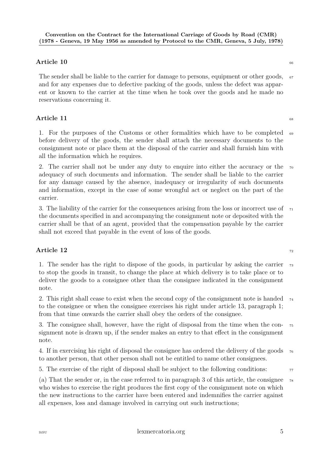## **Article 10** 66

The sender shall be liable to the carrier for damage to persons, equipment or other goods,  $\sigma$ and for any expenses due to defective packing of the goods, unless the defect was apparent or known to the carrier at the time when he took over the goods and he made no reservations concerning it.

## <span id="page-8-0"></span>**Article 11** 68

1. For the purposes of the Customs or other formalities which have to be completed  $\omega$ before delivery of the goods, the sender shall attach the necessary documents to the consignment note or place them at the disposal of the carrier and shall furnish him with all the information which he requires.

<span id="page-8-1"></span>2. The carrier shall not be under any duty to enquire into either the accuracy or the  $\pi_0$ adequacy of such documents and information. The sender shall be liable to the carrier for any damage caused by the absence, inadequacy or irregularity of such documents and information, except in the case of some wrongful act or neglect on the part of the carrier.

3. The liability of the carrier for the consequences arising from the loss or incorrect use of  $\tau_1$ the documents specified in and accompanying the consignment note or deposited with the carrier shall be that of an agent, provided that the compensation payable by the carrier shall not exceed that payable in the event of loss of the goods.

# **Article 12** 72

1. The sender has the right to dispose of the goods, in particular by asking the carrier  $\tau_3$ to stop the goods in transit, to change the place at which delivery is to take place or to deliver the goods to a consignee other than the consignee indicated in the consignment note.

<span id="page-8-2"></span>2. This right shall cease to exist when the second copy of the consignment note is handed  $_{74}$ to the consignee or when the consignee exercises his right under article 13, paragraph 1; from that time onwards the carrier shall obey the orders of the consignee.

3. The consignee shall, however, have the right of disposal from the time when the con- <sup>75</sup> signment note is drawn up, if the sender makes an entry to that effect in the consignment note.

4. If in exercising his right of disposal the consignee has ordered the delivery of the goods  $\tau_6$ to another person, that other person shall not be entitled to name other consignees.

5. The exercise of the right of disposal shall be subject to the following conditions:  $\frac{77}{2}$ 

(a) That the sender or, in the case referred to in paragraph 3 of this article, the consignee  $\tau$ who wishes to exercise the right produces the first copy of the consignment note on which the new instructions to the carrier have been entered and indemnifies the carrier against all expenses, loss and damage involved in carrying out such instructions;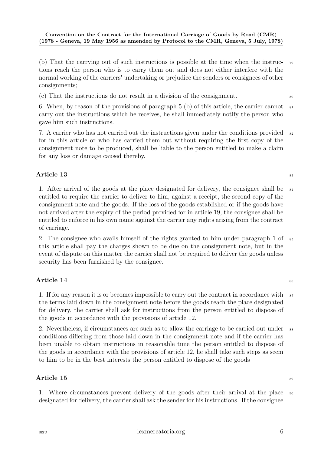(b) That the carrying out of such instructions is possible at the time when the instruc- <sup>79</sup> tions reach the person who is to carry them out and does not either interfere with the normal working of the carriers' undertaking or prejudice the senders or consignees of other consignments;

 $(c)$  That the instructions do not result in a division of the consignment.

6. When, by reason of the provisions of paragraph 5 (b) of this article, the carrier cannot  $\frac{1}{100}$ carry out the instructions which he receives, he shall immediately notify the person who gave him such instructions.

7. A carrier who has not carried out the instructions given under the conditions provided  $\frac{82}{2}$ for in this article or who has carried them out without requiring the first copy of the consignment note to be produced, shall be liable to the person entitled to make a claim for any loss or damage caused thereby.

## **Article 13** 83

<span id="page-9-0"></span>1. After arrival of the goods at the place designated for delivery, the consignee shall be  $\frac{84}{4}$ entitled to require the carrier to deliver to him, against a receipt, the second copy of the consignment note and the goods. If the loss of the goods established or if the goods have not arrived after the expiry of the period provided for in article 19, the consignee shall be entitled to enforce in his own name against the carrier any rights arising from the contract of carriage.

2. The consignee who avails himself of the rights granted to him under paragraph 1 of  $\epsilon$ this article shall pay the charges shown to be due on the consignment note, but in the event of dispute on this matter the carrier shall not be required to deliver the goods unless security has been furnished by the consignee.

# Article 14 86

1. If for any reason it is or becomes impossible to carry out the contract in accordance with  $87$ the terms laid down in the consignment note before the goods reach the place designated for delivery, the carrier shall ask for instructions from the person entitled to dispose of the goods in accordance with the provisions of article 12.

<span id="page-9-1"></span>2. Nevertheless, if circumstances are such as to allow the carriage to be carried out under  $\frac{88}{100}$ conditions differing from those laid down in the consignment note and if the carrier has been unable to obtain instructions in reasonable time the person entitled to dispose of the goods in accordance with the provisions of article 12, he shall take such steps as seem to him to be in the best interests the person entitled to dispose of the goods

# Article 15 and **Article 15**

<span id="page-9-2"></span>1. Where circumstances prevent delivery of the goods after their arrival at the place  $\frac{90}{20}$ designated for delivery, the carrier shall ask the sender for his instructions. If the consignee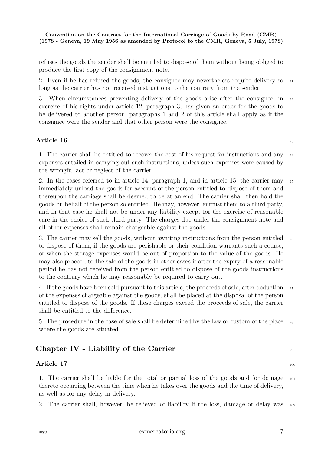refuses the goods the sender shall be entitled to dispose of them without being obliged to produce the first copy of the consignment note.

2. Even if he has refused the goods, the consignee may nevertheless require delivery so  $_{91}$ long as the carrier has not received instructions to the contrary from the sender.

3. When circumstances preventing delivery of the goods arise after the consignee, in  $\frac{92}{2}$ exercise of his rights under article 12, paragraph 3, has given an order for the goods to be delivered to another person, paragraphs 1 and 2 of this article shall apply as if the consignee were the sender and that other person were the consignee.

## **Article 16** 93

1. The carrier shall be entitled to recover the cost of his request for instructions and any <sup>94</sup> expenses entailed in carrying out such instructions, unless such expenses were caused by the wrongful act or neglect of the carrier.

<span id="page-10-0"></span>2. In the cases referred to in article 14, paragraph 1, and in article 15, the carrier may <sup>95</sup> immediately unload the goods for account of the person entitled to dispose of them and thereupon the carriage shall be deemed to be at an end. The carrier shall then hold the goods on behalf of the person so entitled. He may, however, entrust them to a third party, and in that case he shall not be under any liability except for the exercise of reasonable care in the choice of such third party. The charges due under the consignment note and all other expenses shall remain chargeable against the goods.

3. The carrier may sell the goods, without awaiting instructions from the person entitled  $_{96}$ to dispose of them, if the goods are perishable or their condition warrants such a course, or when the storage expenses would be out of proportion to the value of the goods. He may also proceed to the sale of the goods in other cases if after the expiry of a reasonable period he has not received from the person entitled to dispose of the goods instructions to the contrary which he may reasonably be required to carry out.

4. If the goods have been sold pursuant to this article, the proceeds of sale, after deduction  $97$ of the expenses chargeable against the goods, shall be placed at the disposal of the person entitled to dispose of the goods. If these charges exceed the proceeds of sale, the carrier shall be entitled to the difference.

5. The procedure in the case of sale shall be determined by the law or custom of the place <sub>98</sub> where the goods are situated.

# **Chapter IV - Liability of the Carrier Example 2008**

# **Article 17** 100

<span id="page-10-1"></span>1. The carrier shall be liable for the total or partial loss of the goods and for damage <sup>101</sup> thereto occurring between the time when he takes over the goods and the time of delivery, as well as for any delay in delivery.

<span id="page-10-2"></span>2. The carrier shall, however, be relieved of liability if the loss, damage or delay was <sup>102</sup>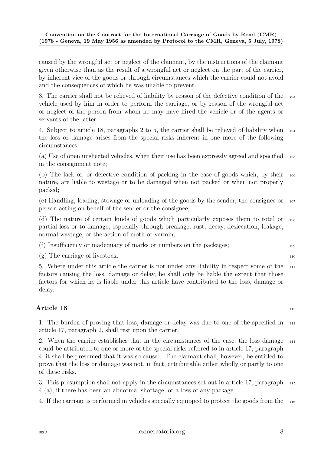caused by the wrongful act or neglect of the claimant, by the instructions of the claimant given otherwise than as the result of a wrongful act or neglect on the part of the carrier, by inherent vice of the goods or through circumstances which the carrier could not avoid and the consequences of which he was unable to prevent.

3. The carrier shall not be relieved of liability by reason of the defective condition of the <sup>103</sup> vehicle used by him in order to perform the carriage, or by reason of the wrongful act or neglect of the person from whom he may have hired the vehicle or of the agents or servants of the latter.

4. Subject to article 18, paragraphs 2 to 5, the carrier shall be relieved of liability when <sup>104</sup> the loss or damage arises from the special risks inherent in one more of the following circumstances:

(a) Use of open unsheeted vehicles, when their use has been expressly agreed and specified  $_{105}$ in the consignment note;

(b) The lack of, or defective condition of packing in the case of goods which, by their <sup>106</sup> nature, are liable to wastage or to be damaged when not packed or when not properly packed;

(c) Handling, loading, stowage or unloading of the goods by the sender, the consignee or  $107$ person acting on behalf of the sender or the consignee;

(d) The nature of certain kinds of goods which particularly exposes them to total or <sup>108</sup> partial loss or to damage, especially through breakage, rust, decay, desiccation, leakage, normal wastage, or the action of moth or vermin;

|  |  | (f) Insufficiency or inadequacy of marks or numbers on the packages; |  |  | 109 |
|--|--|----------------------------------------------------------------------|--|--|-----|
|--|--|----------------------------------------------------------------------|--|--|-----|

 $(g)$  The carriage of livestock. 110

5. Where under this article the carrier is not under any liability in respect some of the <sup>111</sup> factors causing the loss, damage or delay, he shall only be liable the extent that those factors for which he is liable under this article have contributed to the loss, damage or delay.

#### **Article 18** 112

1. The burden of proving that loss, damage or delay was due to one of the specified in  $_{113}$ article 17, paragraph 2, shall rest upon the carrier.

<span id="page-11-0"></span>2. When the carrier establishes that in the circumstances of the case, the loss damage <sup>114</sup> could be attributed to one or more of the special risks referred to in article 17, paragraph 4, it shall be presumed that it was so caused. The claimant shall, however, be entitled to prove that the loss or damage was not, in fact, attributable either wholly or partly to one of these risks.

3. This presumption shall not apply in the circumstances set out in article 17, paragraph 115 4 (a), if there has been an abnormal shortage, or a loss of any package.

4. If the carriage is performed in vehicles specially equipped to protect the goods from the <sup>116</sup>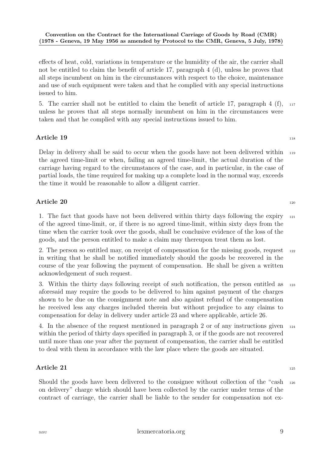effects of heat, cold, variations in temperature or the humidity of the air, the carrier shall not be entitled to claim the benefit of article 17, paragraph 4 (d), unless he proves that all steps incumbent on him in the circumstances with respect to the choice, maintenance and use of such equipment were taken and that he complied with any special instructions issued to him.

5. The carrier shall not be entitled to claim the benefit of article 17, paragraph 4 (f),  $_{117}$ unless he proves that all steps normally incumbent on him in the circumstances were taken and that he complied with any special instructions issued to him.

# **Article 19** 118

<span id="page-12-0"></span>Delay in delivery shall be said to occur when the goods have not been delivered within  $_{119}$ the agreed time-limit or when, failing an agreed time-limit, the actual duration of the carriage having regard to the circumstances of the case, and in particular, in the case of partial loads, the time required for making up a complete load in the normal way, exceeds the time it would be reasonable to allow a diligent carrier.

# **Article 20** 120

1. The fact that goods have not been delivered within thirty days following the expiry <sup>121</sup> of the agreed time-limit, or, if there is no agreed time-limit, within sixty days from the time when the carrier took over the goods, shall be conclusive evidence of the loss of the goods, and the person entitled to make a claim may thereupon treat them as lost.

<span id="page-12-1"></span>2. The person so entitled may, on receipt of compensation for the missing goods, request  $_{122}$ in writing that he shall be notified immediately should the goods be recovered in the course of the year following the payment of compensation. He shall be given a written acknowledgement of such request.

3. Within the thirty days following receipt of such notification, the person entitled as  $_{123}$ aforesaid may require the goods to be delivered to him against payment of the charges shown to be due on the consignment note and also against refund of the compensation he received less any charges included therein but without prejudice to any claims to compensation for delay in delivery under article 23 and where applicable, article 26.

4. In the absence of the request mentioned in paragraph 2 or of any instructions given <sup>124</sup> within the period of thirty days specified in paragraph 3, or if the goods are not recovered until more than one year after the payment of compensation, the carrier shall be entitled to deal with them in accordance with the law place where the goods are situated.

# **Article 21** 125

<span id="page-12-2"></span>Should the goods have been delivered to the consignee without collection of the "cash 126 on delivery" charge which should have been collected by the carrier under terms of the contract of carriage, the carrier shall be liable to the sender for compensation not ex-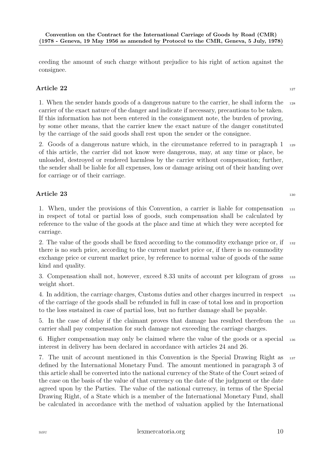ceeding the amount of such charge without prejudice to his right of action against the consignee.

## **Article 22** 127

1. When the sender hands goods of a dangerous nature to the carrier, he shall inform the <sup>128</sup> carrier of the exact nature of the danger and indicate if necessary, precautions to be taken. If this information has not been entered in the consignment note, the burden of proving, by some other means, that the carrier knew the exact nature of the danger constituted by the carriage of the said goods shall rest upon the sender or the consignee.

<span id="page-13-0"></span>2. Goods of a dangerous nature which, in the circumstance referred to in paragraph  $1_{129}$ of this article, the carrier did not know were dangerous, may, at any time or place, be unloaded, destroyed or rendered harmless by the carrier without compensation; further, the sender shall be liable for all expenses, loss or damage arising out of their handing over for carriage or of their carriage.

# **Article 23** 130

1. When, under the provisions of this Convention, a carrier is liable for compensation <sup>131</sup> in respect of total or partial loss of goods, such compensation shall be calculated by reference to the value of the goods at the place and time at which they were accepted for carriage.

<span id="page-13-1"></span>2. The value of the goods shall be fixed according to the commodity exchange price or, if  $_{132}$ there is no such price, according to the current market price or, if there is no commodity exchange price or current market price, by reference to normal value of goods of the same kind and quality.

3. Compensation shall not, however, exceed 8.33 units of account per kilogram of gross <sup>133</sup> weight short.

4. In addition, the carriage charges, Customs duties and other charges incurred in respect <sup>134</sup> of the carriage of the goods shall be refunded in full in case of total loss and in proportion to the loss sustained in case of partial loss, but no further damage shall be payable.

5. In the case of delay if the claimant proves that damage has resulted therefrom the <sup>135</sup> carrier shall pay compensation for such damage not exceeding the carriage charges.

6. Higher compensation may only be claimed where the value of the goods or a special <sup>136</sup> interest in delivery has been declared in accordance with articles 24 and 26.

7. The unit of account mentioned in this Convention is the Special Drawing Right as <sup>137</sup> defined by the International Monetary Fund. The amount mentioned in paragraph 3 of this article shall be converted into the national currency of the State of the Court seized of the case on the basis of the value of that currency on the date of the judgment or the date agreed upon by the Parties. The value of the national currency, in terms of the Special Drawing Right, of a State which is a member of the International Monetary Fund, shall be calculated in accordance with the method of valuation applied by the International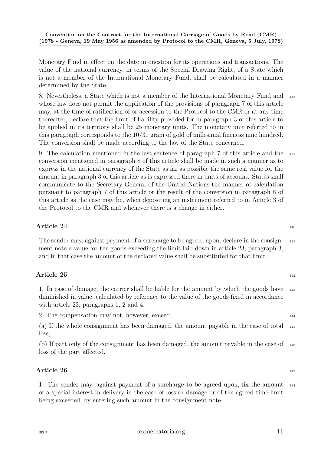Monetary Fund in effect on the date in question for its operations and transactions. The value of the national currency, in terms of the Special Drawing Right, of a State which is not a member of the International Monetary Fund, shall be calculated in a manner determined by the State.

8. Nevertheless, a State which is not a member of the International Monetary Fund and <sup>138</sup> whose law does not permit the application of the provisions of paragraph 7 of this article may, at the time of ratification of or accession to the Protocol to the CMR or at any time thereafter, declare that the limit of liability provided for in paragraph 3 of this article to be applied in its territory shall be 25 monetary units. The monetary unit referred to in this paragraph corresponds to the 10/31 gram of gold of millesimal fineness nine hundred. The conversion shall be made according to the law of the State concerned.

9. The calculation mentioned in the last sentence of paragraph 7 of this article and the <sup>139</sup> conversion mentioned in paragraph 8 of this article shall be made in such a manner as to express in the national currency of the State as far as possible the same real value for the amount in paragraph 3 of this article as is expressed there in units of account. States shall communicate to the Secretary-General of the United Nations the manner of calculation pursuant to paragraph 7 of this article or the result of the conversion in paragraph 8 of this article as the case may be, when depositing an instrument referred to in Article 3 of the Protocol to the CMR and whenever there is a change in either.

## **Article 24** 140

The sender may, against payment of a surcharge to be agreed upon, declare in the consignment note a value for the goods exceeding the limit laid down in article 23, paragraph 3, and in that case the amount of the declared value shall be substituted for that limit.

#### <span id="page-14-0"></span>**Article 25** 142

1. In case of damage, the carrier shall be liable for the amount by which the goods have  $_{143}$ diminished in value, calculated by reference to the value of the goods fixed in accordance with article 23, paragraphs 1, 2 and 4.

<span id="page-14-1"></span>2. The compensation may not, however, exceed: 144

(a) If the whole consignment has been damaged, the amount payable in the case of total <sup>145</sup> loss;

(b) If part only of the consignment has been damaged, the amount payable in the case of <sup>146</sup> loss of the part affected.

#### **Article 26** 147

<span id="page-14-2"></span>1. The sender may, against payment of a surcharge to be agreed upon, fix the amount <sup>148</sup> of a special interest in delivery in the case of loss or damage or of the agreed time-limit being exceeded, by entering such amount in the consignment note.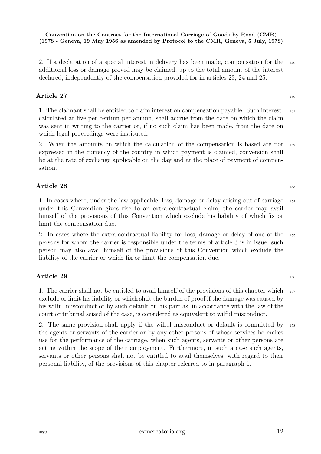2. If a declaration of a special interest in delivery has been made, compensation for the <sup>149</sup> additional loss or damage proved may be claimed, up to the total amount of the interest declared, independently of the compensation provided for in articles 23, 24 and 25.

#### **Article 27** 150

1. The claimant shall be entitled to claim interest on compensation payable. Such interest, <sup>151</sup> calculated at five per centum per annum, shall accrue from the date on which the claim was sent in writing to the carrier or, if no such claim has been made, from the date on which legal proceedings were instituted.

2. When the amounts on which the calculation of the compensation is based are not <sup>152</sup> expressed in the currency of the country in which payment is claimed, conversion shall be at the rate of exchange applicable on the day and at the place of payment of compensation.

#### Article 28

1. In cases where, under the law applicable, loss, damage or delay arising out of carriage <sup>154</sup> under this Convention gives rise to an extra-contractual claim, the carrier may avail himself of the provisions of this Convention which exclude his liability of which fix or limit the compensation due.

2. In cases where the extra-contractual liability for loss, damage or delay of one of the persons for whom the carrier is responsible under the terms of article 3 is in issue, such person may also avail himself of the provisions of this Convention which exclude the liability of the carrier or which fix or limit the compensation due.

#### **Article 29** 156

1. The carrier shall not be entitled to avail himself of the provisions of this chapter which <sup>157</sup> exclude or limit his liability or which shift the burden of proof if the damage was caused by his wilful misconduct or by such default on his part as, in accordance with the law of the court or tribunal seised of the case, is considered as equivalent to wilful misconduct.

2. The same provision shall apply if the wilful misconduct or default is committed by <sup>158</sup> the agents or servants of the carrier or by any other persons of whose services he makes use for the performance of the carriage, when such agents, servants or other persons are acting within the scope of their employment. Furthermore, in such a case such agents, servants or other persons shall not be entitled to avail themselves, with regard to their personal liability, of the provisions of this chapter referred to in paragraph 1.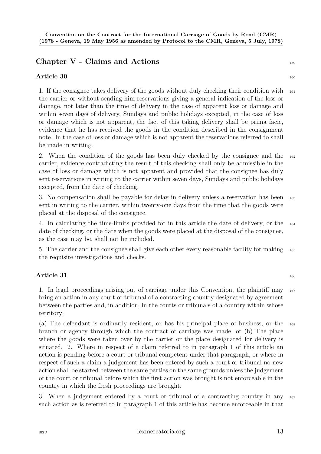# **Chapter V - Claims and Actions**

## **Article 30** 160

<span id="page-16-1"></span><span id="page-16-0"></span>1. If the consignee takes delivery of the goods without duly checking their condition with  $_{161}$ the carrier or without sending him reservations giving a general indication of the loss or damage, not later than the time of delivery in the case of apparent loss or damage and within seven days of delivery, Sundays and public holidays excepted, in the case of loss or damage which is not apparent, the fact of this taking delivery shall be prima facie, evidence that he has received the goods in the condition described in the consignment note. In the case of loss or damage which is not apparent the reservations referred to shall be made in writing.

2. When the condition of the goods has been duly checked by the consignee and the  $_{162}$ carrier, evidence contradicting the result of this checking shall only be admissible in the case of loss or damage which is not apparent and provided that the consignee has duly sent reservations in writing to the carrier within seven days, Sundays and public holidays excepted, from the date of checking.

3. No compensation shall be payable for delay in delivery unless a reservation has been <sup>163</sup> sent in writing to the carrier, within twenty-one days from the time that the goods were placed at the disposal of the consignee.

4. In calculating the time-limits provided for in this article the date of delivery, or the <sup>164</sup> date of checking, or the date when the goods were placed at the disposal of the consignee, as the case may be, shall not be included.

5. The carrier and the consignee shall give each other every reasonable facility for making 165 the requisite investigations and checks.

# **Article 31** 166

1. In legal proceedings arising out of carriage under this Convention, the plaintiff may <sup>167</sup> bring an action in any court or tribunal of a contracting country designated by agreement between the parties and, in addition, in the courts or tribunals of a country within whose territory:

<span id="page-16-2"></span>(a) The defendant is ordinarily resident, or has his principal place of business, or the <sup>168</sup> branch or agency through which the contract of carriage was made, or (b) The place where the goods were taken over by the carrier or the place designated for delivery is situated. 2. Where in respect of a claim referred to in paragraph 1 of this article an action is pending before a court or tribunal competent under that paragraph, or where in respect of such a claim a judgement has been entered by such a court or tribunal no new action shall be started between the same parties on the same grounds unless the judgement of the court or tribunal before which the first action was brought is not enforceable in the country in which the fresh proceedings are brought.

3. When a judgement entered by a court or tribunal of a contracting country in any <sup>169</sup> such action as is referred to in paragraph 1 of this article has become enforceable in that

sisu lexmercatoria.org 13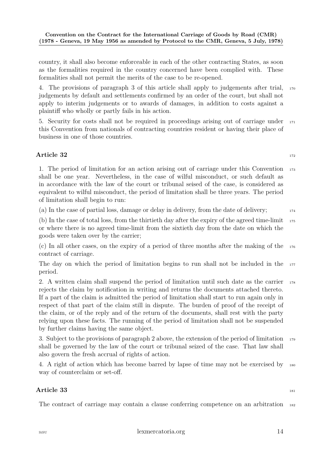country, it shall also become enforceable in each of the other contracting States, as soon as the formalities required in the country concerned have been complied with. These formalities shall not permit the merits of the case to be re-opened.

4. The provisions of paragraph 3 of this article shall apply to judgements after trial, <sup>170</sup> judgements by default and settlements confirmed by an order of the court, but shall not apply to interim judgements or to awards of damages, in addition to costs against a plaintiff who wholly or partly fails in his action.

5. Security for costs shall not be required in proceedings arising out of carriage under  $_{171}$ this Convention from nationals of contracting countries resident or having their place of business in one of those countries.

#### **Article 32** 172

1. The period of limitation for an action arising out of carriage under this Convention <sup>173</sup> shall be one year. Nevertheless, in the case of wilful misconduct, or such default as in accordance with the law of the court or tribunal seised of the case, is considered as equivalent to wilful misconduct, the period of limitation shall be three years. The period of limitation shall begin to run:

<span id="page-17-0"></span>(a) In the case of partial loss, damage or delay in delivery, from the date of delivery; <sup>174</sup>

(b) In the case of total loss, from the thirtieth day after the expiry of the agreed time-limit  $175$ or where there is no agreed time-limit from the sixtieth day from the date on which the goods were taken over by the carrier;

(c) In all other cases, on the expiry of a period of three months after the making of the  $176$ contract of carriage.

The day on which the period of limitation begins to run shall not be included in the 177 period.

2. A written claim shall suspend the period of limitation until such date as the carrier  $_{178}$ rejects the claim by notification in writing and returns the documents attached thereto. If a part of the claim is admitted the period of limitation shall start to run again only in respect of that part of the claim still in dispute. The burden of proof of the receipt of the claim, or of the reply and of the return of the documents, shall rest with the party relying upon these facts. The running of the period of limitation shall not be suspended by further claims having the same object.

3. Subject to the provisions of paragraph 2 above, the extension of the period of limitation  $179$ shall be governed by the law of the court or tribunal seized of the case. That law shall also govern the fresh accrual of rights of action.

4. A right of action which has become barred by lapse of time may not be exercised by <sup>180</sup> way of counterclaim or set-off.

# **Article 33** 181

<span id="page-17-1"></span>The contract of carriage may contain a clause conferring competence on an arbitration 182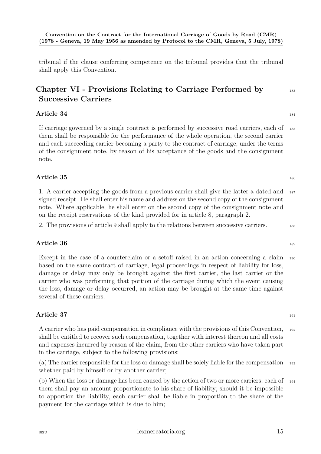**Convention on the Contract for the International Carriage of Goods by Road (CMR) (1978 - Geneva, 19 May 1956 as amended by Protocol to the CMR, Geneva, 5 July, 1978)**

tribunal if the clause conferring competence on the tribunal provides that the tribunal shall apply this Convention.

# **Chapter VI - Provisions Relating to Carriage Performed by** <sup>183</sup> **Successive Carriers**

#### **Article 34** 184

<span id="page-18-1"></span><span id="page-18-0"></span>If carriage governed by a single contract is performed by successive road carriers, each of  $_{185}$ them shall be responsible for the performance of the whole operation, the second carrier and each succeeding carrier becoming a party to the contract of carriage, under the terms of the consignment note, by reason of his acceptance of the goods and the consignment note.

#### **Article 35**

1. A carrier accepting the goods from a previous carrier shall give the latter a dated and <sup>187</sup> signed receipt. He shall enter his name and address on the second copy of the consignment note. Where applicable, he shall enter on the second copy of the consignment note and on the receipt reservations of the kind provided for in article 8, paragraph 2.

<span id="page-18-2"></span>2. The provisions of article 9 shall apply to the relations between successive carriers.

#### Article 36

<span id="page-18-3"></span>Except in the case of a counterclaim or a setoff raised in an action concerning a claim 190 based on the same contract of carriage, legal proceedings in respect of liability for loss, damage or delay may only be brought against the first carrier, the last carrier or the carrier who was performing that portion of the carriage during which the event causing the loss, damage or delay occurred, an action may be brought at the same time against several of these carriers.

#### **Article 37** 191

A carrier who has paid compensation in compliance with the provisions of this Convention, 192 shall be entitled to recover such compensation, together with interest thereon and all costs and expenses incurred by reason of the claim, from the other carriers who have taken part in the carriage, subject to the following provisions:

<span id="page-18-4"></span>(a) The carrier responsible for the loss or damage shall be solely liable for the compensation  $_{193}$ whether paid by himself or by another carrier;

(b) When the loss or damage has been caused by the action of two or more carriers, each of  $_{194}$ them shall pay an amount proportionate to his share of liability; should it be impossible to apportion the liability, each carrier shall be liable in proportion to the share of the payment for the carriage which is due to him;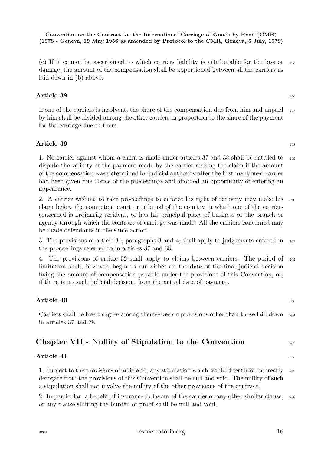(c) If it cannot be ascertained to which carriers liability is attributable for the loss or <sup>195</sup> damage, the amount of the compensation shall be apportioned between all the carriers as laid down in (b) above.

#### **Article 38** 196

If one of the carriers is insolvent, the share of the compensation due from him and unpaid 197 by him shall be divided among the other carriers in proportion to the share of the payment for the carriage due to them.

#### <span id="page-19-0"></span>**Article 39** 198

1. No carrier against whom a claim is made under articles 37 and 38 shall be entitled to <sup>199</sup> dispute the validity of the payment made by the carrier making the claim if the amount of the compensation was determined by judicial authority after the first mentioned carrier had been given due notice of the proceedings and afforded an opportunity of entering an appearance.

<span id="page-19-1"></span>2. A carrier wishing to take proceedings to enforce his right of recovery may make his <sup>200</sup> claim before the competent court or tribunal of the country in which one of the carriers concerned is ordinarily resident, or has his principal place of business or the branch or agency through which the contract of carriage was made. All the carriers concerned may be made defendants in the same action.

3. The provisions of article 31, paragraphs 3 and 4, shall apply to judgements entered in  $_{201}$ the proceedings referred to in articles 37 and 38.

4. The provisions of article 32 shall apply to claims between carriers. The period of <sup>202</sup> limitation shall, however, begin to run either on the date of the final judicial decision fixing the amount of compensation payable under the provisions of this Convention, or, if there is no such judicial decision, from the actual date of payment.

#### **Article 40** 203

Carriers shall be free to agree among themselves on provisions other than those laid down <sup>204</sup> in articles 37 and 38.

# <span id="page-19-2"></span>**Chapter VII - Nullity of Stipulation to the Convention** <sup>205</sup>

#### **Article 41** 206

<span id="page-19-3"></span>1. Subject to the provisions of article 40, any stipulation which would directly or indirectly <sup>207</sup> derogate from the provisions of this Convention shall be null and void. The nullity of such a stipulation shall not involve the nullity of the other provisions of the contract.

<span id="page-19-4"></span>2. In particular, a benefit of insurance in favour of the carrier or any other similar clause, <sup>208</sup> or any clause shifting the burden of proof shall be null and void.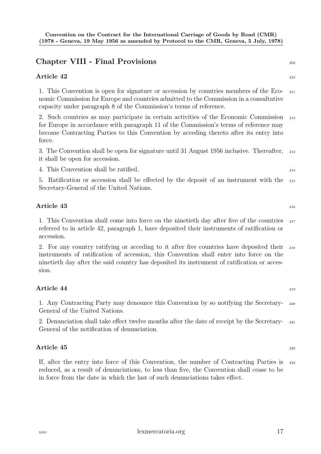# **Chapter VIII - Final Provisions** 209

## **Article 42** 210

<span id="page-20-0"></span>1. This Convention is open for signature or accession by countries members of the Eco- <sup>211</sup> nomic Commission for Europe and countries admitted to the Commission in a consultative capacity under paragraph 8 of the Commission's terms of reference.

<span id="page-20-1"></span>2. Such countries as may participate in certain activities of the Economic Commission <sup>212</sup> for Europe in accordance with paragraph 11 of the Commission's terms of reference may become Contracting Parties to this Convention by acceding thereto after its entry into force.

3. The Convention shall be open for signature until 31 August 1956 inclusive. Thereafter, <sup>213</sup> it shall be open for accession.

4. This Convention shall be ratified. <sup>214</sup>

5. Ratification or accession shall be effected by the deposit of an instrument with the <sup>215</sup> Secretary-General of the United Nations.

#### **Article 43** 216

1. This Convention shall come into force on the ninetieth day after five of the countries <sup>217</sup> referred to in article 42, paragraph 1, have deposited their instruments of ratification or accession.

<span id="page-20-2"></span>2. For any country ratifying or acceding to it after five countries have deposited their <sub>218</sub> instruments of ratification of accession, this Convention shall enter into force on the ninetieth day after the said country has deposited its instrument of ratification or accession.

# **Article 44** 219

1. Any Contracting Party may denounce this Convention by so notifying the Secretary- <sup>220</sup> General of the United Nations.

<span id="page-20-3"></span>2. Denunciation shall take effect twelve months after the date of receipt by the Secretary-General of the notification of denunciation.

# **Article 45** 222

<span id="page-20-4"></span>If, after the entry into force of this Convention, the number of Contracting Parties is  $_{223}$ reduced, as a result of denunciations, to less than five, the Convention shall cease to be in force from the date in which the last of such denunciations takes effect.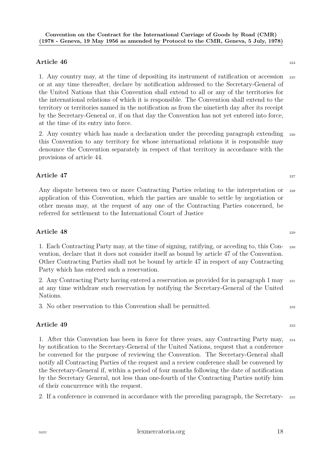## **Article 46** 224

<span id="page-21-0"></span>1. Any country may, at the time of depositing its instrument of ratification or accession <sup>225</sup> or at any time thereafter, declare by notification addressed to the Secretary-General of the United Nations that this Convention shall extend to all or any of the territories for the international relations of which it is responsible. The Convention shall extend to the territory or territories named in the notification as from the ninetieth day after its receipt by the Secretary-General or, if on that day the Convention has not yet entered into force, at the time of its entry into force.

2. Any country which has made a declaration under the preceding paragraph extending  $_{226}$ this Convention to any territory for whose international relations it is responsible may denounce the Convention separately in respect of that territory in accordance with the provisions of article 44.

## **Article 47** 227

Any dispute between two or more Contracting Parties relating to the interpretation or 228 application of this Convention, which the parties are unable to settle by negotiation or other means may, at the request of any one of the Contracting Parties concerned, be referred for settlement to the International Court of Justice

## <span id="page-21-1"></span>**Article 48** 229

1. Each Contracting Party may, at the time of signing, ratifying, or acceding to, this Con- <sup>230</sup> vention, declare that it does not consider itself as bound by article 47 of the Convention. Other Contracting Parties shall not be bound by article 47 in respect of any Contracting Party which has entered such a reservation.

<span id="page-21-2"></span>2. Any Contracting Party having entered a reservation as provided for in paragraph 1 may <sup>231</sup> at any time withdraw such reservation by notifying the Secretary-General of the United Nations.

3. No other reservation to this Convention shall be permitted.

#### Article 49 233

<span id="page-21-3"></span>1. After this Convention has been in force for three years, any Contracting Party may, <sup>234</sup> by notification to the Secretary-General of the United Nations, request that a conference be convened for the purpose of reviewing the Convention. The Secretary-General shall notify all Contracting Parties of the request and a review conference shall be convened by the Secretary-General if, within a period of four months following the date of notification by the Secretary General, not less than one-fourth of the Contracting Parties notify him of their concurrence with the request.

2. If a conference is convened in accordance with the preceding paragraph, the Secretary- <sup>235</sup>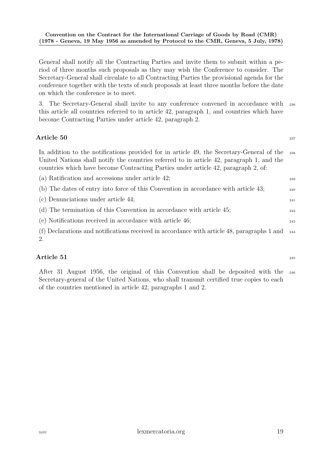General shall notify all the Contracting Parties and invite them to submit within a period of three months such proposals as they may wish the Conference to consider. The Secretary-General shall circulate to all Contracting Parties the provisional agenda for the conference together with the texts of such proposals at least three months before the date on which the conference is to meet.

3. The Secretary-General shall invite to any conference convened in accordance with <sup>236</sup> this article all countries referred to in article 42, paragraph 1, and countries which have become Contracting Parties under article 42, paragraph 2.

## **Article 50** 237

In addition to the notifications provided for in article 49, the Secretary-General of the 238 United Nations shall notify the countries referred to in article 42, paragraph 1, and the countries which have become Contracting Parties under article 42, paragraph 2, of:

<span id="page-22-0"></span>

| (a) Ratification and accessions under article 42;                                                 | 239 |
|---------------------------------------------------------------------------------------------------|-----|
| (b) The dates of entry into force of this Convention in accordance with article 43;               | 240 |
| (c) Denunciations under article 44;                                                               | 241 |
| (d) The termination of this Convention in accordance with article 45;                             | 242 |
| (e) Notifications received in accordance with article $46$ ;                                      | 243 |
| (f) Declarations and notifications received in accordance with article 48, paragraphs 1 and<br>2. | 244 |

# **Article 51** 245

<span id="page-22-1"></span>After 31 August 1956, the original of this Convention shall be deposited with the <sup>246</sup> Secretary-general of the United Nations, who shall transmit certified true copies to each of the countries mentioned in article 42, paragraphs 1 and 2.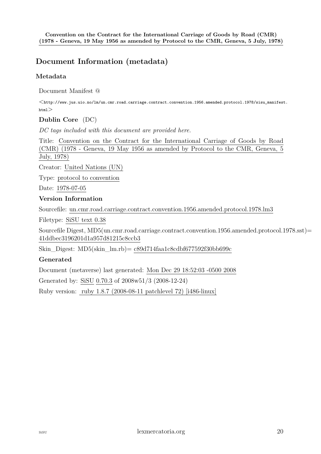# **Document Information (metadata)**

## **Metadata**

Document Manifest @

<span id="page-23-0"></span>*<*http://www.jus.uio.no/lm/un.cmr.road.carriage.contract.convention.1956.amended.protocol.1978/sisu\_manifest. html*>*

## <span id="page-23-1"></span>**Dublin Core** (DC)

*D[C tags included with this document are provided here.](http://www.jus.uio.no/lm/un.cmr.road.carriage.contract.convention.1956.amended.protocol.1978/sisu_manifest.html)*

[Titl](http://www.jus.uio.no/lm/un.cmr.road.carriage.contract.convention.1956.amended.protocol.1978/sisu_manifest.html)e: Convention on the Contract for the International Carriage of Goods by Road (CMR) (1978 - Geneva, 19 May 1956 as amended by Protocol to the CMR, Geneva, 5 July, 1978)

Creator: United Nations (UN)

Type: protocol to convention

Date: 1978-07-05

#### **Version Information**

Sourcefile: un.cmr.road.carriage.contract.convention.1956.amended.protocol.1978.lm3

Filetype: SiSU text 0.38

Sourcefile Digest, MD5(un.cmr.road.carriage.contract.convention.1956.amended.protocol.1978.sst)= 41ddbec3196201d1a957d81215c8ccb3

Skin\_Digest:  $MD5$ (skin\_lm.rb)= c89d714faa1c8cdbf677592f30bb699c

#### **Generated**

Document (metaverse) last generated: Mon Dec 29 18:52:03 -0500 2008

Generated by: SiSU 0.70.3 of 2008w51/3 (2008-12-24)

Ruby version: ruby 1.8.7 (2008-08-11 patchlevel 72) [i486-linux]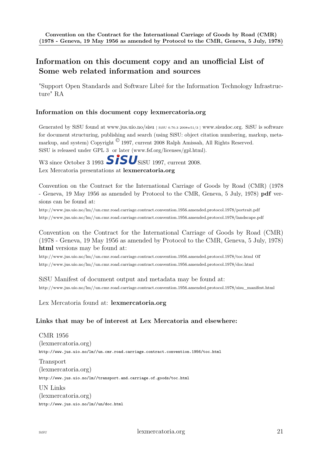# **Information on this document copy and an unofficial List of Some web related information and sources**

"Support Open Standards and Software Libré for the Information Technology Infrastructure" RA

#### <span id="page-24-0"></span>**Information on this document copy lexmercatoria.org**

Generated by SiSU found at www.jus.uio.no/sisu [ SisU 0.70.3 2008w51/3 ] www.sisudoc.org. SiSU is software for document structuring, publishing and searc[h \(using SiSU: object cit](http://lexmercatoria.org)ation numbering, markup, metamarkup, and system) Copyright<sup>(©</sup> 1997, current 2008 Ralph Amissah, All Rights Reserved. SiSU is releas[ed un](http://www.jus.uio.no/sisu/)der GPL 3 [or later \(www.fsf.o](http://www.jus.uio.no/sisu/)rg/licenses/gpl.htm[l\).](http://www.sisudoc.org)

W3 since October 3 1993  $\mathbf{SISU}$  1997, current 2008. Lex Mercatoria prese[ntation](http://www.fsf.org/licenses/gpl.html)s at **lex[mercatoria.org](http://www.fsf.org/licenses/gpl.html)**

Convention on the Contract for the International Carriage of Goods by Road (CMR) (1978 [- Geneva, 19 M](http://lexmercatoria.org)ay 1956 a[s](http://www.jus.uio.no/sisu/) amen[ded by Protocol to t](http://lexmercatoria.org)he CMR, Geneva, 5 July, 1978) **pdf** versions can be found at:

http://www.jus.uio.no/lm//un.cmr.road.carriage.contract.convention.1956.amended.protocol.1978/portrait.pdf http://www.jus.uio.no/lm//un.cmr.road.carriage.contract.convention.1956.amended.protocol.1978/landscape.pdf

[Convention on the Contract for the International Carriage of Goods by Road](http://www.jus.uio.no/lm//un.cmr.road.carriage.contract.convention.1956.amended.protocol.1978/portrait.pdf) (CMR) [\(1978 - Geneva, 19 May 1956 as amended by Protocol to the CMR, Geneva, 5 July](http://www.jus.uio.no/lm//un.cmr.road.carriage.contract.convention.1956.amended.protocol.1978/landscape.pdf), 1978) **html** versions may be found at:

http://www.jus.uio.no/lm//un.cmr.road.carriage.contract.convention.1956.amended.protocol.1978/toc.html or http://www.jus.uio.no/lm//un.cmr.road.carriage.contract.convention.1956.amended.protocol.1978/doc.html

SiSU Manifest [of document output and metadata may be found at:](http://www.jus.uio.no/lm//un.cmr.road.carriage.contract.convention.1956.amended.protocol.1978/toc.html) [http://www.jus.uio.no/lm//un.cmr.road.carriage.contract.convention.1956.amended.protocol.1978/sisu\\_man](http://www.jus.uio.no/lm//un.cmr.road.carriage.contract.convention.1956.amended.protocol.1978/doc.html)ifest.html

[Lex Mercatoria](http://www.jus.uio.no/lm//un.cmr.road.carriage.contract.convention.1956.amended.protocol.1978/sisu_manifest.html) found at: **lexmercatoria.org**

#### **Links that may be of interest at Lex Mercatoria and elsewhere:**

[CMR 1956](http://lexmercatoria.org) (lexmercatoria.org) http://www.jus.uio.no/lm//un.cmr.road.carriage.contract.convention.1956/toc.html

Transport ([lexmercatoria.org](http://lexmercatoria.org)) [http://www.jus.uio.no/lm//transport.and.carriage.of.goods/toc.html](http://www.jus.uio.no/lm//un.cmr.road.carriage.contract.convention.1956/toc.html)

UN Links ([lexmercatoria.org](http://lexmercatoria.org)) [http://www.jus.uio.no/lm//un/doc.html](http://www.jus.uio.no/lm//transport.and.carriage.of.goods/toc.html)